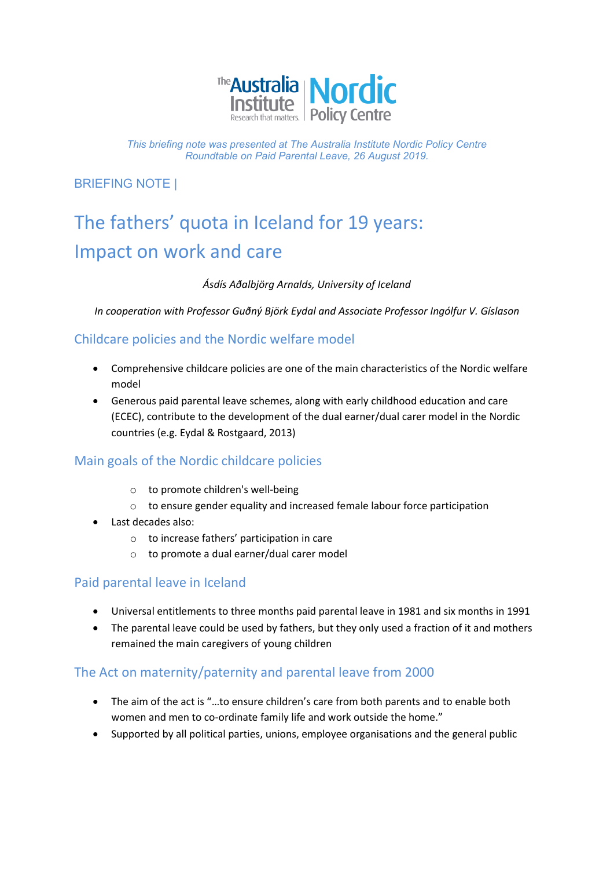

*This briefing note was presented at The Australia Institute Nordic Policy Centre Roundtable on Paid Parental Leave, 26 August 2019.*

BRIEFING NOTE |

# The fathers' quota in Iceland for 19 years: Impact on work and care

#### *Ásdís Aðalbjörg Arnalds, University of Iceland*

*In cooperation with Professor Guðný Björk Eydal and Associate Professor Ingólfur V. Gíslason*

# Childcare policies and the Nordic welfare model

- Comprehensive childcare policies are one of the main characteristics of the Nordic welfare model
- Generous paid parental leave schemes, along with early childhood education and care (ECEC), contribute to the development of the dual earner/dual carer model in the Nordic countries (e.g. Eydal & Rostgaard, 2013)

# Main goals of the Nordic childcare policies

- o to promote children's well-being
- o to ensure gender equality and increased female labour force participation
- Last decades also:
	- o to increase fathers' participation in care
	- o to promote a dual earner/dual carer model

#### Paid parental leave in Iceland

- Universal entitlements to three months paid parental leave in 1981 and six months in 1991
- The parental leave could be used by fathers, but they only used a fraction of it and mothers remained the main caregivers of young children

#### The Act on maternity/paternity and parental leave from 2000

- The aim of the act is "…to ensure children's care from both parents and to enable both women and men to co-ordinate family life and work outside the home."
- Supported by all political parties, unions, employee organisations and the general public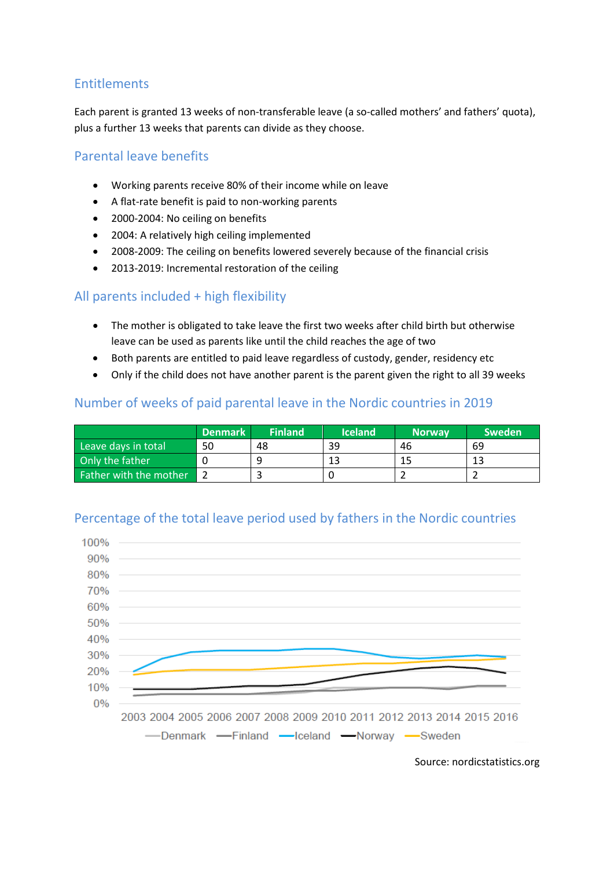# Entitlements

Each parent is granted 13 weeks of non-transferable leave (a so-called mothers' and fathers' quota), plus a further 13 weeks that parents can divide as they choose.

#### Parental leave benefits

- Working parents receive 80% of their income while on leave
- A flat-rate benefit is paid to non-working parents
- 2000-2004: No ceiling on benefits
- 2004: A relatively high ceiling implemented
- 2008-2009: The ceiling on benefits lowered severely because of the financial crisis
- 2013-2019: Incremental restoration of the ceiling

# All parents included + high flexibility

- The mother is obligated to take leave the first two weeks after child birth but otherwise leave can be used as parents like until the child reaches the age of two
- Both parents are entitled to paid leave regardless of custody, gender, residency etc
- Only if the child does not have another parent is the parent given the right to all 39 weeks

#### Number of weeks of paid parental leave in the Nordic countries in 2019

|                        | <b>Denmark</b> | <b>Finland</b> | <b>Iceland</b> | <b>Norway</b> | <b>Sweden</b> |
|------------------------|----------------|----------------|----------------|---------------|---------------|
| Leave days in total    | 50             | 48             | 39             | 46            | 69            |
| Only the father        |                |                |                |               |               |
| Father with the mother |                |                |                |               |               |

#### Percentage of the total leave period used by fathers in the Nordic countries



Source: nordicstatistics.org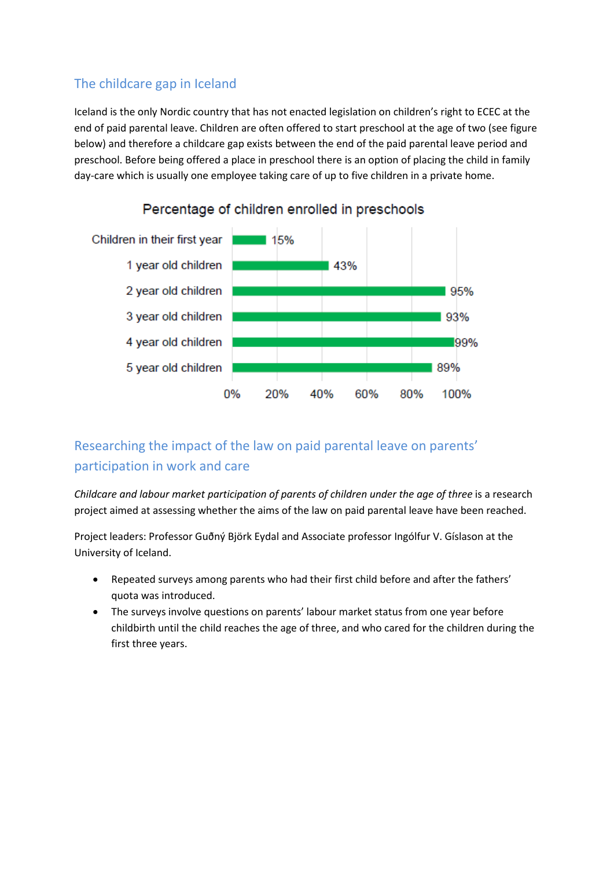# The childcare gap in Iceland

Iceland is the only Nordic country that has not enacted legislation on children's right to ECEC at the end of paid parental leave. Children are often offered to start preschool at the age of two (see figure below) and therefore a childcare gap exists between the end of the paid parental leave period and preschool. Before being offered a place in preschool there is an option of placing the child in family day-care which is usually one employee taking care of up to five children in a private home.



# Percentage of children enrolled in preschools

# Researching the impact of the law on paid parental leave on parents' participation in work and care

*Childcare and labour market participation of parents of children under the age of three is a research* project aimed at assessing whether the aims of the law on paid parental leave have been reached.

Project leaders: Professor Guðný Björk Eydal and Associate professor Ingólfur V. Gíslason at the University of Iceland.

- Repeated surveys among parents who had their first child before and after the fathers' quota was introduced.
- The surveys involve questions on parents' labour market status from one year before childbirth until the child reaches the age of three, and who cared for the children during the first three years.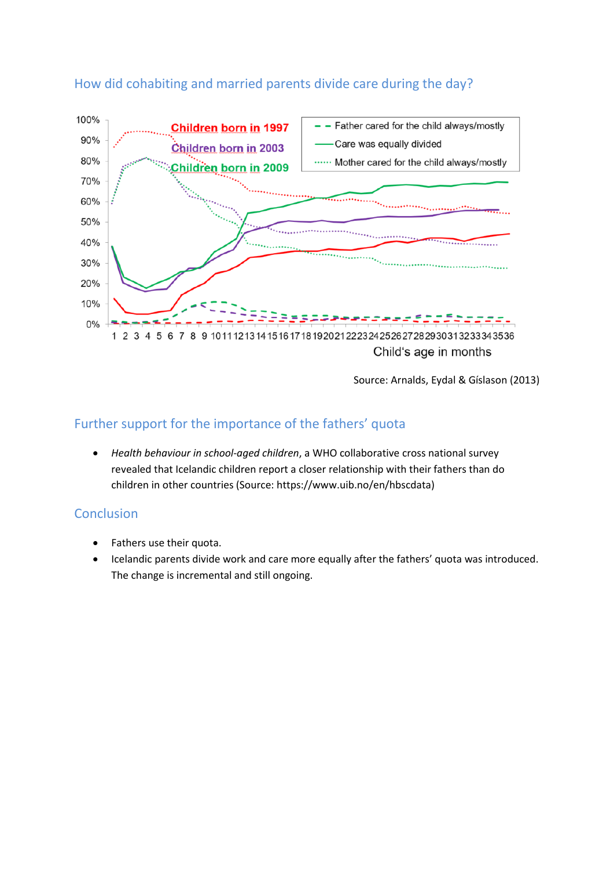

# How did cohabiting and married parents divide care during the day?

Source: Arnalds, Eydal & Gíslason (2013)

# Further support for the importance of the fathers' quota

• *Health behaviour in school-aged children*, a WHO collaborative cross national survey revealed that Icelandic children report a closer relationship with their fathers than do children in other countries (Source: https://www.uib.no/en/hbscdata)

#### **Conclusion**

- Fathers use their quota.
- Icelandic parents divide work and care more equally after the fathers' quota was introduced. The change is incremental and still ongoing.